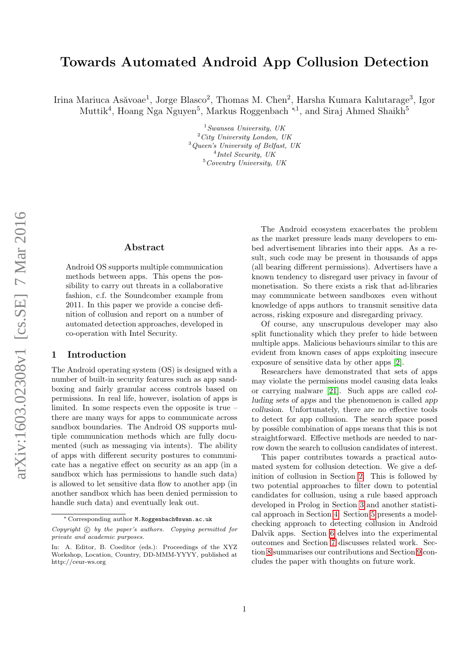# Towards Automated Android App Collusion Detection

Irina Mariuca Asăvoae<sup>1</sup>, Jorge Blasco<sup>2</sup>, Thomas M. Chen<sup>2</sup>, Harsha Kumara Kalutarage<sup>3</sup>, Igor Muttik<sup>4</sup>, Hoang Nga Nguyen<sup>5</sup>, Markus Roggenbach <sup>\*1</sup>, and Siraj Ahmed Shaikh<sup>5</sup>

> Swansea University, UK  $^{2}$ City University London, UK Queen's University of Belfast, UK Intel Security, UK Coventry University, UK

### Abstract

Android OS supports multiple communication methods between apps. This opens the possibility to carry out threats in a collaborative fashion, c.f. the Soundcomber example from 2011. In this paper we provide a concise definition of collusion and report on a number of automated detection approaches, developed in co-operation with Intel Security.

### 1 Introduction

The Android operating system (OS) is designed with a number of built-in security features such as app sandboxing and fairly granular access controls based on permissions. In real life, however, isolation of apps is limited. In some respects even the opposite is true – there are many ways for apps to communicate across sandbox boundaries. The Android OS supports multiple communication methods which are fully documented (such as messaging via intents). The ability of apps with different security postures to communicate has a negative effect on security as an app (in a sandbox which has permissions to handle such data) is allowed to let sensitive data flow to another app (in another sandbox which has been denied permission to handle such data) and eventually leak out.

The Android ecosystem exacerbates the problem as the market pressure leads many developers to embed advertisement libraries into their apps. As a result, such code may be present in thousands of apps (all bearing different permissions). Advertisers have a known tendency to disregard user privacy in favour of monetisation. So there exists a risk that ad-libraries may communicate between sandboxes even without knowledge of apps authors to transmit sensitive data across, risking exposure and disregarding privacy.

Of course, any unscrupulous developer may also split functionality which they prefer to hide between multiple apps. Malicious behaviours similar to this are evident from known cases of apps exploiting insecure exposure of sensitive data by other apps [\[2\]](#page-7-0).

Researchers have demonstrated that sets of apps may violate the permissions model causing data leaks or carrying malware [\[21\]](#page-7-1). Such apps are called colluding sets of apps and the phenomenon is called app collusion. Unfortunately, there are no effective tools to detect for app collusion. The search space posed by possible combination of apps means that this is not straightforward. Effective methods are needed to narrow down the search to collusion candidates of interest.

This paper contributes towards a practical automated system for collusion detection. We give a definition of collusion in Section [2.](#page-1-0) This is followed by two potential approaches to filter down to potential candidates for collusion, using a rule based approach developed in Prolog in Section [3](#page-1-1) and another statistical approach in Section [4.](#page-2-0) Section [5](#page-3-0) presents a modelchecking approach to detecting collusion in Android Dalvik apps. Section [6](#page-4-0) delves into the experimental outcomes and Section [7](#page-5-0) discusses related work. Section [8](#page-6-0) summarises our contributions and Section [9](#page-6-1) concludes the paper with thoughts on future work.

<sup>∗</sup> Corresponding author M.Roggenbach@swan.ac.uk

Copyright  $\odot$  by the paper's authors. Copying permitted for private and academic purposes.

In: A. Editor, B. Coeditor (eds.): Proceedings of the XYZ Workshop, Location, Country, DD-MMM-YYYY, published at http://ceur-ws.org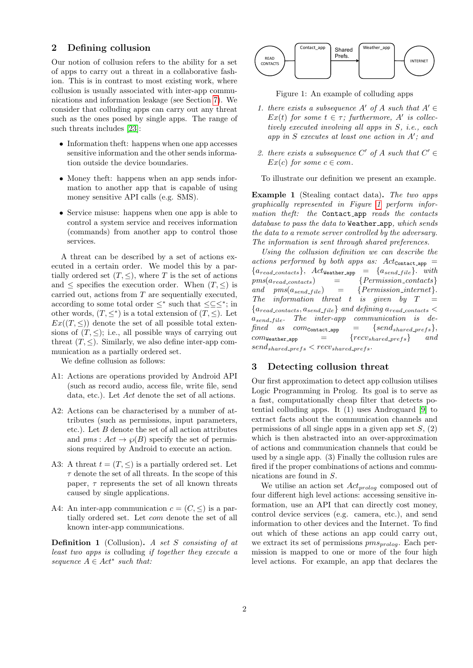# <span id="page-1-0"></span>2 Defining collusion

Our notion of collusion refers to the ability for a set of apps to carry out a threat in a collaborative fashion. This is in contrast to most existing work, where collusion is usually associated with inter-app communications and information leakage (see Section [7\)](#page-5-0). We consider that colluding apps can carry out any threat such as the ones posed by single apps. The range of such threats includes [\[23\]](#page-7-2):

- Information theft: happens when one app accesses sensitive information and the other sends information outside the device boundaries.
- Money theft: happens when an app sends information to another app that is capable of using money sensitive API calls (e.g. SMS).
- Service misuse: happens when one app is able to control a system service and receives information (commands) from another app to control those services.

A threat can be described by a set of actions executed in a certain order. We model this by a partially ordered set  $(T, \leq)$ , where T is the set of actions and  $\leq$  specifies the execution order. When  $(T, \leq)$  is carried out, actions from  $T$  are sequentially executed, according to some total order  $\leq^*$  such that  $\leq \leq^*$ ; in other words,  $(T, \leq^*)$  is a total extension of  $(T, \leq)$ . Let  $Ex((T, \leq))$  denote the set of all possible total extensions of  $(T, \leq)$ ; i.e., all possible ways of carrying out threat  $(T, \leq)$ . Similarly, we also define inter-app communication as a partially ordered set.

We define collusion as follows:

- A1: Actions are operations provided by Android API (such as record audio, access file, write file, send data, etc.). Let Act denote the set of all actions.
- A2: Actions can be characterised by a number of attributes (such as permissions, input parameters, etc.). Let  $B$  denote the set of all action attributes and  $pms: Act \rightarrow \varphi(B)$  specify the set of permissions required by Android to execute an action.
- A3: A threat  $t = (T, \leq)$  is a partially ordered set. Let  $\tau$  denote the set of all threats. In the scope of this paper,  $\tau$  represents the set of all known threats caused by single applications.
- A4: An inter-app communication  $c = (C, \leq)$  is a partially ordered set. Let com denote the set of all known inter-app communications.

<span id="page-1-3"></span>Definition 1 (Collusion). A set S consisting of at least two apps is colluding if together they execute a sequence  $A \in Act^*$  such that:



<span id="page-1-2"></span>Figure 1: An example of colluding apps

- 1. there exists a subsequence A' of A such that  $A' \in$  $Ex(t)$  for some  $t \in \tau$ ; furthermore, A' is collectively executed involving all apps in S, i.e., each app in  $S$  executes at least one action in  $A'$ ; and
- 2. there exists a subsequence  $C'$  of A such that  $C' \in$  $Ex(c)$  for some  $c \in com$ .

To illustrate our definition we present an example.

Example 1 (Stealing contact data). The two apps graphically represented in Figure [1](#page-1-2) perform information theft: the Contact app reads the contacts database to pass the data to Weather\_app, which sends the data to a remote server controlled by the adversary. The information is sent through shared preferences.

Using the collusion definition we can describe the actions performed by both apps as:  $Act_{\texttt{Context\_app}} =$  ${a_{read\_contents}}$ ,  $Act_{Weather\_app} = {a_{send\_file}}$ . with  $pms(a_{read\_contents})$  = {Permission\_contacts} and  $pms(a_{send\_file})$  = {Permission\_internet}. The information threat t is given by  $T =$  ${a_{read\_contacts}, a_{send\_file}}$  and defining  $a_{read\_contacts}$  $a_{send\_file}$ . The inter-app communication is de $fined$  as  $com_{\text{Context\_app}}$  = { $send_{shared\_prefs}$ },  $com_{\texttt{Weather} \texttt{app}}$  = { $recv_{shared\_prefs}$ } and  $send_{shared\_prefs} < recv_{shared\_prefs}.$ 

### <span id="page-1-1"></span>3 Detecting collusion threat

Our first approximation to detect app collusion utilises Logic Programming in Prolog. Its goal is to serve as a fast, computationally cheap filter that detects potential colluding apps. It (1) uses Androguard [\[9\]](#page-7-3) to extract facts about the communication channels and permissions of all single apps in a given app set  $S$ ,  $(2)$ which is then abstracted into an over-approximation of actions and communication channels that could be used by a single app. (3) Finally the collusion rules are fired if the proper combinations of actions and communications are found in S.

We utilise an action set  $Act_{prolog}$  composed out of four different high level actions: accessing sensitive information, use an API that can directly cost money, control device services (e.g. camera, etc.), and send information to other devices and the Internet. To find out which of these actions an app could carry out, we extract its set of permissions  $pms_{proloq}$ . Each permission is mapped to one or more of the four high level actions. For example, an app that declares the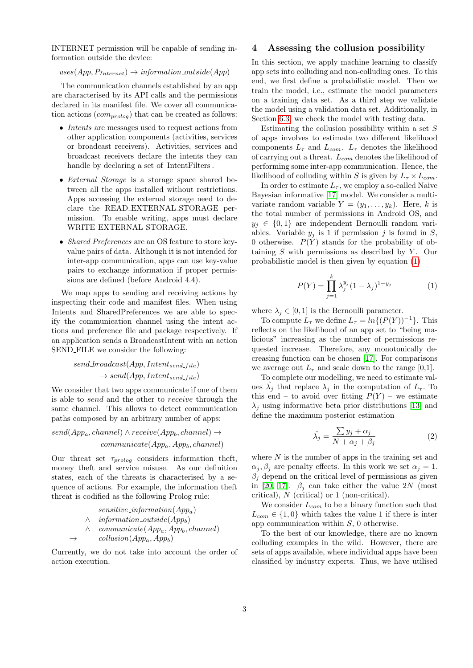INTERNET permission will be capable of sending information outside the device:

 $uses(App, P_{Internet}) \rightarrow information\_outside(App)$ 

The communication channels established by an app are characterised by its API calls and the permissions declared in its manifest file. We cover all communication actions  $(com_{prolog})$  that can be created as follows:

- Intents are messages used to request actions from other application components (activities, services or broadcast receivers). Activities, services and broadcast receivers declare the intents they can handle by declaring a set of IntentFilters.
- *External Storage* is a storage space shared between all the apps installed without restrictions. Apps accessing the external storage need to declare the READ EXTERNAL STORAGE permission. To enable writing, apps must declare WRITE EXTERNAL STORAGE.
- *Shared Preferences* are an OS feature to store keyvalue pairs of data. Although it is not intended for inter-app communication, apps can use key-value pairs to exchange information if proper permissions are defined (before Android 4.4).

We map apps to sending and receiving actions by inspecting their code and manifest files. When using Intents and SharedPreferences we are able to specify the communication channel using the intent actions and preference file and package respectively. If an application sends a BroadcastIntent with an action SEND FILE we consider the following:

> $send\_broadcast(App, Intent_{send\_file})$  $\rightarrow send(App, Intent_{send~file})$

We consider that two apps communicate if one of them is able to send and the other to receive through the same channel. This allows to detect communication paths composed by an arbitrary number of apps:

 $send(App_a, channel) \wedge receive(App_b, channel) \rightarrow$  $communicate(App_a, App_b, channel)$ 

Our threat set  $\tau_{prolog}$  considers information theft, money theft and service misuse. As our definition states, each of the threats is characterised by a sequence of actions. For example, the information theft threat is codified as the following Prolog rule:

> sensitive information  $App_a$ )  $\wedge$  information\_outside(App<sub>b</sub>)  $\wedge$  communicate( $App_a, App_b, channel$ )

 $\rightarrow$  collusion(App<sub>a</sub>, App<sub>b</sub>)

Currently, we do not take into account the order of action execution.

# <span id="page-2-0"></span>4 Assessing the collusion possibility

In this section, we apply machine learning to classify app sets into colluding and non-colluding ones. To this end, we first define a probabilistic model. Then we train the model, i.e., estimate the model parameters on a training data set. As a third step we validate the model using a validation data set. Additionally, in Section [6.3,](#page-5-1) we check the model with testing data.

Estimating the collusion possibility within a set  $S$ of apps involves to estimate two different likelihood components  $L_{\tau}$  and  $L_{com}$ .  $L_{\tau}$  denotes the likelihood of carrying out a threat.  $L_{com}$  denotes the likelihood of performing some inter-app communication. Hence, the likelihood of colluding within S is given by  $L_{\tau} \times L_{com}$ .

In order to estimate  $L_{\tau}$ , we employ a so-called Naive Bayesian informative [\[17\]](#page-7-4) model. We consider a multivariate random variable  $Y = (y_1, \ldots, y_k)$ . Here, k is the total number of permissions in Android OS, and  $y_i \in \{0,1\}$  are independent Bernoulli random variables. Variable  $y_j$  is 1 if permission j is found in  $S$ , 0 otherwise.  $P(Y)$  stands for the probability of obtaining  $S$  with permissions as described by  $Y$ . Our probabilistic model is then given by equation [\(1\)](#page-2-1)

<span id="page-2-1"></span>
$$
P(Y) = \prod_{j=1}^{k} \lambda_j^{y_j} (1 - \lambda_j)^{1 - y_j}
$$
 (1)

where  $\lambda_i \in [0, 1]$  is the Bernoulli parameter.

To compute  $L_{\tau}$  we define  $L_{\tau} = ln\{(P(Y))^{-1}\}\.$  This reflects on the likelihood of an app set to "being malicious" increasing as the number of permissions requested increase. Therefore, any monotonically decreasing function can be chosen [\[17\]](#page-7-4). For comparisons we average out  $L_{\tau}$  and scale down to the range [0,1].

To complete our modelling, we need to estimate values  $\hat{\lambda}_j$  that replace  $\lambda_j$  in the computation of  $L_{\tau}$ . To this end – to avoid over fitting  $P(Y)$  – we estimate  $\lambda_i$  using informative beta prior distributions [\[13\]](#page-7-5) and define the maximum posterior estimation

$$
\hat{\lambda_j} = \frac{\sum y_j + \alpha_j}{N + \alpha_j + \beta_j} \tag{2}
$$

where  $N$  is the number of apps in the training set and  $\alpha_i, \beta_i$  are penalty effects. In this work we set  $\alpha_i = 1$ .  $\beta_i$  depend on the critical level of permissions as given in [\[20,](#page-7-6) [17\]](#page-7-4).  $\beta_i$  can take either the value 2N (most critical), N (critical) or 1 (non-critical).

We consider  $L_{com}$  to be a binary function such that  $L_{com} \in \{1,0\}$  which takes the value 1 if there is inter app communication within  $S$ , 0 otherwise.

To the best of our knowledge, there are no known colluding examples in the wild. However, there are sets of apps available, where individual apps have been classified by industry experts. Thus, we have utilised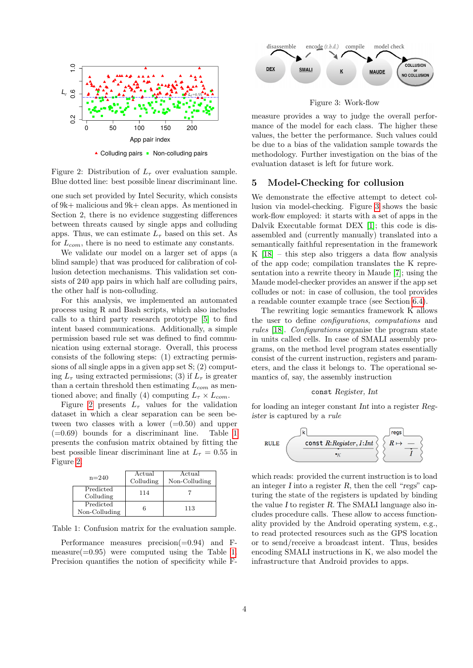

<span id="page-3-1"></span>Figure 2: Distribution of  $L_{\tau}$  over evaluation sample. Blue dotted line: best possible linear discriminant line.

one such set provided by Intel Security, which consists of 9k+ malicious and 9k+ clean apps. As mentioned in Section 2, there is no evidence suggesting differences between threats caused by single apps and colluding apps. Thus, we can estimate  $L_{\tau}$  based on this set. As for  $L_{com}$ , there is no need to estimate any constants.

We validate our model on a larger set of apps (a blind sample) that was produced for calibration of collusion detection mechanisms. This validation set consists of 240 app pairs in which half are colluding pairs, the other half is non-colluding.

For this analysis, we implemented an automated process using R and Bash scripts, which also includes calls to a third party research prototype [\[5\]](#page-7-7) to find intent based communications. Additionally, a simple permission based rule set was defined to find communication using external storage. Overall, this process consists of the following steps: (1) extracting permissions of all single apps in a given app set S; (2) computing  $L_{\tau}$  using extracted permissions; (3) if  $L_{\tau}$  is greater than a certain threshold then estimating  $L_{com}$  as mentioned above; and finally (4) computing  $L_{\tau} \times L_{com}$ .

Figure [2](#page-3-1) presents  $L_{\tau}$  values for the validation dataset in which a clear separation can be seen between two classes with a lower  $(=0.50)$  and upper (=0.69) bounds for a discriminant line. Table [1](#page-3-2) presents the confusion matrix obtained by fitting the best possible linear discriminant line at  $L<sub>\tau</sub> = 0.55$  in Figure [2.](#page-3-1)

| $n = 240$                  | Actual<br>Colluding | Actual<br>Non-Colluding |  |  |  |  |
|----------------------------|---------------------|-------------------------|--|--|--|--|
| Predicted<br>Colluding     | 114                 |                         |  |  |  |  |
| Predicted<br>Non-Colluding |                     | 113                     |  |  |  |  |

<span id="page-3-2"></span>Table 1: Confusion matrix for the evaluation sample.

Performance measures precision $(=0.94)$  and Fmeasure $(=0.95)$  were computed using the Table [1.](#page-3-2) Precision quantifies the notion of specificity while F-



<span id="page-3-3"></span>Figure 3: Work-flow

measure provides a way to judge the overall performance of the model for each class. The higher these values, the better the performance. Such values could be due to a bias of the validation sample towards the methodology. Further investigation on the bias of the evaluation dataset is left for future work.

### <span id="page-3-0"></span>5 Model-Checking for collusion

We demonstrate the effective attempt to detect collusion via model-checking. Figure [3](#page-3-3) shows the basic work-flow employed: it starts with a set of apps in the Dalvik Executable format DEX [\[1\]](#page-7-8); this code is disassembled and (currently manually) translated into a semantically faithful representation in the framework K  $[18]$  – this step also triggers a data flow analysis of the app code; compilation translates the K representation into a rewrite theory in Maude [\[7\]](#page-7-10); using the Maude model-checker provides an answer if the app set colludes or not: in case of collusion, the tool provides a readable counter example trace (see Section [6.4\)](#page-5-2).

The rewriting logic semantics framework K allows the user to define configurations, computations and rules [\[18\]](#page-7-9). Configurations organise the program state in units called cells. In case of SMALI assembly programs, on the method level program states essentially consist of the current instruction, registers and parameters, and the class it belongs to. The operational semantics of, say, the assembly instruction

#### const Register, Int

for loading an integer constant Int into a register Register is captured by a rule



which reads: provided the current instruction is to load an integer I into a register  $R$ , then the cell "regs" capturing the state of the registers is updated by binding the value I to register R. The SMALI language also includes procedure calls. These allow to access functionality provided by the Android operating system, e.g., to read protected resources such as the GPS location or to send/receive a broadcast intent. Thus, besides encoding SMALI instructions in K, we also model the infrastructure that Android provides to apps.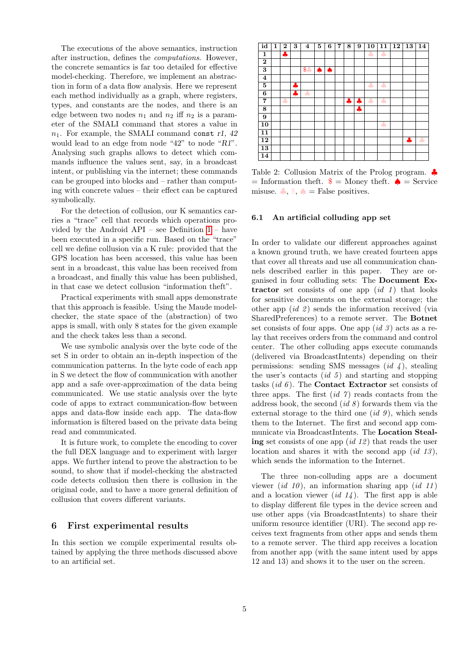The executions of the above semantics, instruction after instruction, defines the computations. However, the concrete semantics is far too detailed for effective model-checking. Therefore, we implement an abstraction in form of a data flow analysis. Here we represent each method individually as a graph, where registers, types, and constants are the nodes, and there is an edge between two nodes  $n_1$  and  $n_2$  iff  $n_2$  is a parameter of the SMALI command that stores a value in  $n_1$ . For example, the SMALI command const r1, 42 would lead to an edge from node "42" to node "R1". Analysing such graphs allows to detect which commands influence the values sent, say, in a broadcast intent, or publishing via the internet; these commands can be grouped into blocks and – rather than computing with concrete values – their effect can be captured symbolically.

For the detection of collusion, our K semantics carries a "trace" cell that records which operations provided by the Android  $API - see Definition 1 - have$  $API - see Definition 1 - have$  $API - see Definition 1 - have$ been executed in a specific run. Based on the "trace" cell we define collusion via a K rule: provided that the GPS location has been accessed, this value has been sent in a broadcast, this value has been received from a broadcast, and finally this value has been published, in that case we detect collusion "information theft".

Practical experiments with small apps demonstrate that this approach is feasible. Using the Maude modelchecker, the state space of the (abstraction) of two apps is small, with only 8 states for the given example and the check takes less than a second.

We use symbolic analysis over the byte code of the set S in order to obtain an in-depth inspection of the communication patterns. In the byte code of each app in S we detect the flow of communication with another app and a safe over-approximation of the data being communicated. We use static analysis over the byte code of apps to extract communication-flow between apps and data-flow inside each app. The data-flow information is filtered based on the private data being read and communicated.

It is future work, to complete the encoding to cover the full DEX language and to experiment with larger apps. We further intend to prove the abstraction to be sound, to show that if model-checking the abstracted code detects collusion then there is collusion in the original code, and to have a more general definition of collusion that covers different variants.

## <span id="page-4-0"></span>6 First experimental results

In this section we compile experimental results obtained by applying the three methods discussed above to an artificial set.



Table 2: Collusion Matrix of the Prolog program. ♣  $=$  Information theft.  $\hat{\mathbf{s}} =$  Money theft.  $\hat{\mathbf{e}} =$  Service misuse.  $\bullet$ ,  $\bullet$ ,  $\bullet$  = False positives.

#### <span id="page-4-1"></span>6.1 An artificial colluding app set

In order to validate our different approaches against a known ground truth, we have created fourteen apps that cover all threats and use all communication channels described earlier in this paper. They are organised in four colluding sets: The Document Extractor set consists of one app  $(id 1)$  that looks for sensitive documents on the external storage; the other app  $(id \, 2)$  sends the information received (via SharedPreferences) to a remote server. The Botnet set consists of four apps. One app  $(id 3)$  acts as a relay that receives orders from the command and control center. The other colluding apps execute commands (delivered via BroadcastIntents) depending on their permissions: sending SMS messages  $(id 4)$ , stealing the user's contacts  $(id\ 5)$  and starting and stopping tasks  $(id\ 6)$ . The **Contact Extractor** set consists of three apps. The first  $(id\ \gamma)$  reads contacts from the address book, the second  $(id 8)$  forwards them via the external storage to the third one  $(id\ g)$ , which sends them to the Internet. The first and second app communicate via BroadcastIntents. The Location Stealing set consists of one app  $(id 12)$  that reads the user location and shares it with the second app  $(id 13)$ , which sends the information to the Internet.

The three non-colluding apps are a document viewer (id 10), an information sharing app (id 11) and a location viewer  $(id\ 14)$ . The first app is able to display different file types in the device screen and use other apps (via BroadcastIntents) to share their uniform resource identifier (URI). The second app receives text fragments from other apps and sends them to a remote server. The third app receives a location from another app (with the same intent used by apps 12 and 13) and shows it to the user on the screen.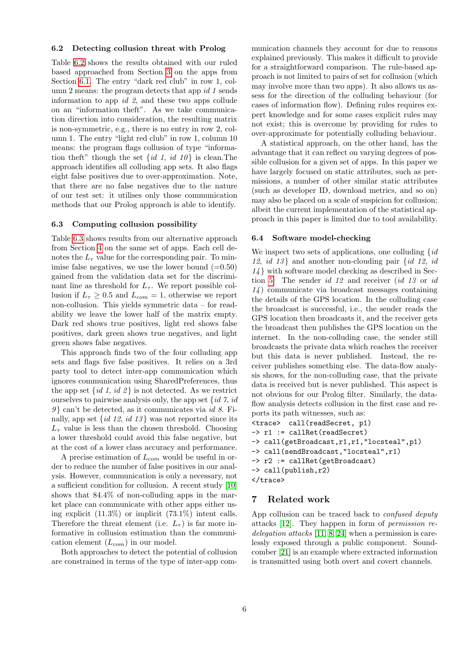#### <span id="page-5-3"></span>6.2 Detecting collusion threat with Prolog

Table [6.2](#page-5-3) shows the results obtained with our ruled based approached from Section [3](#page-1-1) on the apps from Section [6.1.](#page-4-1) The entry "dark red club" in row 1, column 2 means: the program detects that app id 1 sends information to app  $id\,2$ , and these two apps collude on an "information theft". As we take communication direction into consideration, the resulting matrix is non-symmetric, e.g., there is no entry in row 2, column 1. The entry "light red club" in row 1, column 10 means: the program flags collusion of type "information theft" though the set  $\{id\ 1, id\ 10\}$  is clean. The approach identifies all colluding app sets. It also flags eight false positives due to over-approximation. Note, that there are no false negatives due to the nature of our test set: it utilises only those communication methods that our Prolog approach is able to identify.

### <span id="page-5-1"></span>6.3 Computing collusion possibility

Table [6.3](#page-5-1) shows results from our alternative approach from Section [4](#page-2-0) on the same set of apps. Each cell denotes the  $L_{\tau}$  value for the corresponding pair. To minimise false negatives, we use the lower bound  $(=0.50)$ gained from the validation data set for the discriminant line as threshold for  $L_{\tau}$ . We report possible collusion if  $L_{\tau} \geq 0.5$  and  $L_{com} = 1$ , otherwise we report non-collusion. This yields symmetric data – for readability we leave the lower half of the matrix empty. Dark red shows true positives, light red shows false positives, dark green shows true negatives, and light green shows false negatives.

This approach finds two of the four colluding app sets and flags five false positives. It relies on a 3rd party tool to detect inter-app communication which ignores communication using SharedPreferences, thus the app set  $\{id\ 1, id\ 2\}$  is not detected. As we restrict ourselves to pairwise analysis only, the app set  $\{id\ \text{7}, id\}$  $9$  can't be detected, as it communicates via id 8. Finally, app set  $\{id\ 12, id\ 13\}$  was not reported since its  $L<sub>\tau</sub>$  value is less than the chosen threshold. Choosing a lower threshold could avoid this false negative, but at the cost of a lower class accuracy and performance.

A precise estimation of  $L_{com}$  would be useful in order to reduce the number of false positives in our analysis. However, communication is only a necessary, not a sufficient condition for collusion. A recent study [\[10\]](#page-7-11) shows that 84.4% of non-colluding apps in the market place can communicate with other apps either using explicit  $(11.3\%)$  or implicit  $(73.1\%)$  intent calls. Therefore the threat element (i.e.  $L_{\tau}$ ) is far more informative in collusion estimation than the communication element  $(L_{com})$  in our model.

Both approaches to detect the potential of collusion are constrained in terms of the type of inter-app com-

munication channels they account for due to reasons explained previously. This makes it difficult to provide for a straightforward comparison. The rule-based approach is not limited to pairs of set for collusion (which may involve more than two apps). It also allows us assess for the direction of the colluding behaviour (for cases of information flow). Defining rules requires expert knowledge and for some cases explicit rules may not exist; this is overcome by providing for rules to over-approximate for potentially colluding behaviour.

A statistical approach, on the other hand, has the advantage that it can reflect on varying degrees of possible collusion for a given set of apps. In this paper we have largely focused on static attributes, such as permissions, a number of other similar static attributes (such as developer ID, download metrics, and so on) may also be placed on a scale of suspicion for collusion; albeit the current implementation of the statistical approach in this paper is limited due to tool availability.

### <span id="page-5-2"></span>6.4 Software model-checking

We inspect two sets of applications, one colluding  $\{id$ 12, id 13 } and another non-clouding pair  $\{id\ 12, id\ 14\}$  $14$  with software model checking as described in Section [5.](#page-3-0) The sender id 12 and receiver (id 13 or id  $14$ ) communicate via broadcast messages containing the details of the GPS location. In the colluding case the broadcast is successful, i.e., the sender reads the GPS location then broadcasts it, and the receiver gets the broadcast then publishes the GPS location on the internet. In the non-colluding case, the sender still broadcasts the private data which reaches the receiver but this data is never published. Instead, the receiver publishes something else. The data-flow analysis shows, for the non-colluding case, that the private data is received but is never published. This aspect is not obvious for our Prolog filter. Similarly, the dataflow analysis detects collusion in the first case and reports its path witnesses, such as:

```
<trace> call(readSecret, p1)
-> r1 := callRet(readSecret)
-> call(getBroadcast,r1,r1,"locsteal",p1)
-> call(sendBroadcast,"locsteal",r1)
-> r2 := callRet(getBroadcast)
-> call(publish,r2)
</trace>
```
### <span id="page-5-0"></span>7 Related work

App collusion can be traced back to *confused deputy* attacks [\[12\]](#page-7-12). They happen in form of permission redelegation attacks [\[11,](#page-7-13) [8,](#page-7-14) [24\]](#page-8-0) when a permission is carelessly exposed through a public component. Soundcomber [\[21\]](#page-7-1) is an example where extracted information is transmitted using both overt and covert channels.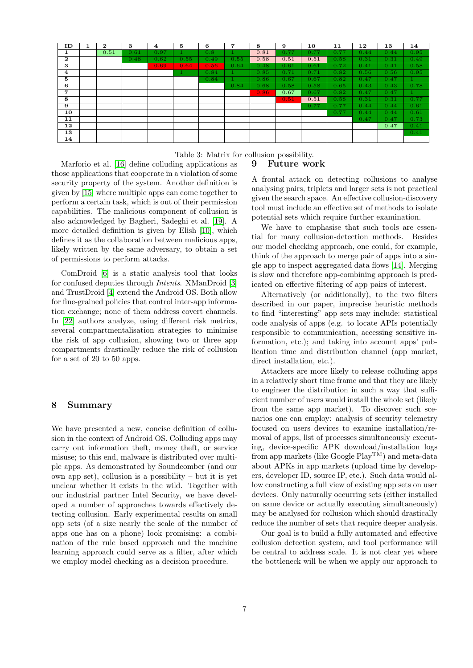| ID             | T. | $\mathbf{2}$ | 3    | 4    | 5    | 6    | 7    | 8    | 9    | 10   | 11   | 12   | 13   | 14           |
|----------------|----|--------------|------|------|------|------|------|------|------|------|------|------|------|--------------|
| 1              |    | 0.51         | 0.61 | 0.97 |      | 0.8  | 1.   | 0.81 | 0.77 | 0.77 | 0.77 | 0.44 | 0.44 | 0.95         |
| $\mathbf{2}$   |    |              | 0.48 | 0.62 | 0.55 | 0.49 | 0.55 | 0.58 | 0.51 | 0.51 | 0.58 | 0.31 | 0.31 | 0.49         |
| 3              |    |              |      | 0.69 | 0.64 | 0.56 | 0.64 | 0.48 | 0.61 | 0.61 | 0.72 | 0.41 | 0.41 | 0.58         |
| $\overline{4}$ |    |              |      |      |      | 0.84 | v.   | 0.85 | 0.71 | 0.71 | 0.82 | 0.56 | 0.56 | 0.95         |
| 5              |    |              |      |      |      | 0.84 |      | 0.86 | 0.67 | 0.67 | 0.82 | 0.47 | 0.47 |              |
| 6              |    |              |      |      |      |      | 0.84 | 0.68 | 0.58 | 0.58 | 0.65 | 0.43 | 0.43 | 0.78         |
| 7              |    |              |      |      |      |      |      | 0.86 | 0.67 | 0.67 | 0.82 | 0.47 | 0.47 | $\mathbf{1}$ |
| 8              |    |              |      |      |      |      |      |      | 0.51 | 0.51 | 0.58 | 0.31 | 0.31 | 0.77         |
| 9              |    |              |      |      |      |      |      |      |      | 0.77 | 0.77 | 0.44 | 0.44 | 0.61         |
| 10             |    |              |      |      |      |      |      |      |      |      | 0.77 | 0.44 | 0.44 | 0.61         |
| 11             |    |              |      |      |      |      |      |      |      |      |      | 0.47 | 0.47 | 0.73         |
| 12             |    |              |      |      |      |      |      |      |      |      |      |      | 0.47 | 0.41         |
| 13             |    |              |      |      |      |      |      |      |      |      |      |      |      | 0.41         |
| 14             |    |              |      |      |      |      |      |      |      |      |      |      |      |              |

# Table 3: Matrix for collusion possibility.

<span id="page-6-1"></span>9 Future work

Marforio et al. [\[16\]](#page-7-15) define colluding applications as those applications that cooperate in a violation of some security property of the system. Another definition is given by [\[15\]](#page-7-16) where multiple apps can come together to perform a certain task, which is out of their permission capabilities. The malicious component of collusion is also acknowledged by Bagheri, Sadeghi et al. [\[19\]](#page-7-17). A more detailed definition is given by Elish [\[10\]](#page-7-11), which defines it as the collaboration between malicious apps, likely written by the same adversary, to obtain a set of permissions to perform attacks.

ComDroid [\[6\]](#page-7-18) is a static analysis tool that looks for confused deputies through Intents. XManDroid [\[3\]](#page-7-19) and TrustDroid [\[4\]](#page-7-20) extend the Android OS. Both allow for fine-grained policies that control inter-app information exchange; none of them address covert channels. In [\[22\]](#page-7-21) authors analyze, using different risk metrics, several compartmentalisation strategies to minimise the risk of app collusion, showing two or three app compartments drastically reduce the risk of collusion for a set of 20 to 50 apps.

# <span id="page-6-0"></span>8 Summary

We have presented a new, concise definition of collusion in the context of Android OS. Colluding apps may carry out information theft, money theft, or service misuse; to this end, malware is distributed over multiple apps. As demonstrated by Soundcomber (and our own app set), collusion is a possibility – but it is yet unclear whether it exists in the wild. Together with our industrial partner Intel Security, we have developed a number of approaches towards effectively detecting collusion. Early experimental results on small app sets (of a size nearly the scale of the number of apps one has on a phone) look promising: a combination of the rule based approach and the machine learning approach could serve as a filter, after which we employ model checking as a decision procedure.

A frontal attack on detecting collusions to analyse analysing pairs, triplets and larger sets is not practical given the search space. An effective collusion-discovery tool must include an effective set of methods to isolate potential sets which require further examination.

We have to emphasise that such tools are essential for many collusion-detection methods. Besides our model checking approach, one could, for example, think of the approach to merge pair of apps into a single app to inspect aggregated data flows [\[14\]](#page-7-22). Merging is slow and therefore app-combining approach is predicated on effective filtering of app pairs of interest.

Alternatively (or additionally), to the two filters described in our paper, imprecise heuristic methods to find "interesting" app sets may include: statistical code analysis of apps (e.g. to locate APIs potentially responsible to communication, accessing sensitive information, etc.); and taking into account apps' publication time and distribution channel (app market, direct installation, etc.).

Attackers are more likely to release colluding apps in a relatively short time frame and that they are likely to engineer the distribution in such a way that sufficient number of users would install the whole set (likely from the same app market). To discover such scenarios one can employ: analysis of security telemetry focused on users devices to examine installation/removal of apps, list of processes simultaneously executing, device-specific APK download/installation logs from app markets (like Google  $Play<sup>TM</sup>$ ) and meta-data about APKs in app markets (upload time by developers, developer ID, source IP, etc.). Such data would allow constructing a full view of existing app sets on user devices. Only naturally occurring sets (either installed on same device or actually executing simultaneously) may be analysed for collusion which should drastically reduce the number of sets that require deeper analysis.

Our goal is to build a fully automated and effective collusion detection system, and tool performance will be central to address scale. It is not clear yet where the bottleneck will be when we apply our approach to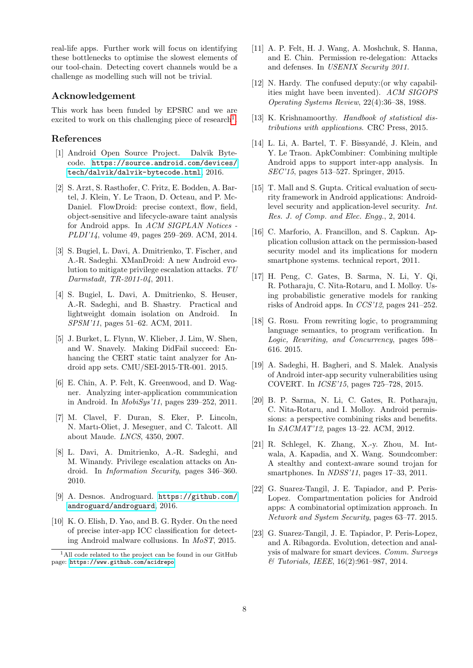real-life apps. Further work will focus on identifying these bottlenecks to optimise the slowest elements of our tool-chain. Detecting covert channels would be a challenge as modelling such will not be trivial.

## Acknowledgement

This work has been funded by EPSRC and we are excited to work on this challenging piece of research<sup>[1](#page-7-23)</sup>.

# References

- <span id="page-7-8"></span>[1] Android Open Source Project. Dalvik Bytecode. [https://source.android.com/devices/](https://source.android.com/devices/tech/dalvik/dalvik-bytecode.html) [tech/dalvik/dalvik-bytecode.html](https://source.android.com/devices/tech/dalvik/dalvik-bytecode.html), 2016.
- <span id="page-7-0"></span>[2] S. Arzt, S. Rasthofer, C. Fritz, E. Bodden, A. Bartel, J. Klein, Y. Le Traon, D. Octeau, and P. Mc-Daniel. FlowDroid: precise context, flow, field, object-sensitive and lifecycle-aware taint analysis for Android apps. In ACM SIGPLAN Notices - PLDI'14, volume 49, pages 259–269. ACM, 2014.
- <span id="page-7-19"></span>[3] S. Bugiel, L. Davi, A. Dmitrienko, T. Fischer, and A.-R. Sadeghi. XManDroid: A new Android evolution to mitigate privilege escalation attacks. TU Darmstadt, TR-2011-04, 2011.
- <span id="page-7-20"></span>[4] S. Bugiel, L. Davi, A. Dmitrienko, S. Heuser, A.-R. Sadeghi, and B. Shastry. Practical and lightweight domain isolation on Android. In SPSM'11, pages 51–62. ACM, 2011.
- <span id="page-7-7"></span>[5] J. Burket, L. Flynn, W. Klieber, J. Lim, W. Shen, and W. Snavely. Making DidFail succeed: Enhancing the CERT static taint analyzer for Android app sets. CMU/SEI-2015-TR-001. 2015.
- <span id="page-7-18"></span>[6] E. Chin, A. P. Felt, K. Greenwood, and D. Wagner. Analyzing inter-application communication in Android. In MobiSys'11, pages 239–252, 2011.
- <span id="page-7-10"></span>[7] M. Clavel, F. Duran, S. Eker, P. Lincoln, N. Martı-Oliet, J. Meseguer, and C. Talcott. All about Maude. LNCS, 4350, 2007.
- <span id="page-7-14"></span>[8] L. Davi, A. Dmitrienko, A.-R. Sadeghi, and M. Winandy. Privilege escalation attacks on Android. In Information Security, pages 346–360. 2010.
- <span id="page-7-3"></span>[9] A. Desnos. Androguard. [https://github.com/](https://github.com/androguard/androguard) [androguard/androguard](https://github.com/androguard/androguard), 2016.
- <span id="page-7-11"></span>[10] K. O. Elish, D. Yao, and B. G. Ryder. On the need of precise inter-app ICC classification for detecting Android malware collusions. In MoST, 2015.
- <span id="page-7-13"></span>[11] A. P. Felt, H. J. Wang, A. Moshchuk, S. Hanna, and E. Chin. Permission re-delegation: Attacks and defenses. In USENIX Security 2011.
- <span id="page-7-12"></span>[12] N. Hardy. The confused deputy:(or why capabilities might have been invented). ACM SIGOPS Operating Systems Review, 22(4):36–38, 1988.
- <span id="page-7-5"></span>[13] K. Krishnamoorthy. Handbook of statistical distributions with applications. CRC Press, 2015.
- <span id="page-7-22"></span>[14] L. Li, A. Bartel, T. F. Bissyandé, J. Klein, and Y. Le Traon. ApkCombiner: Combining multiple Android apps to support inter-app analysis. In SEC'15, pages 513–527. Springer, 2015.
- <span id="page-7-16"></span>[15] T. Mall and S. Gupta. Critical evaluation of security framework in Android applications: Androidlevel security and application-level security. Int. Res. J. of Comp. and Elec. Engg., 2, 2014.
- <span id="page-7-15"></span>[16] C. Marforio, A. Francillon, and S. Capkun. Application collusion attack on the permission-based security model and its implications for modern smartphone systems. technical report, 2011.
- <span id="page-7-4"></span>[17] H. Peng, C. Gates, B. Sarma, N. Li, Y. Qi, R. Potharaju, C. Nita-Rotaru, and I. Molloy. Using probabilistic generative models for ranking risks of Android apps. In CCS'12, pages 241–252.
- <span id="page-7-9"></span>[18] G. Rosu. From rewriting logic, to programming language semantics, to program verification. In Logic, Rewriting, and Concurrency, pages 598– 616. 2015.
- <span id="page-7-17"></span>[19] A. Sadeghi, H. Bagheri, and S. Malek. Analysis of Android inter-app security vulnerabilities using COVERT. In ICSE'15, pages 725–728, 2015.
- <span id="page-7-6"></span>[20] B. P. Sarma, N. Li, C. Gates, R. Potharaju, C. Nita-Rotaru, and I. Molloy. Android permissions: a perspective combining risks and benefits. In SACMAT'12, pages 13–22. ACM, 2012.
- <span id="page-7-1"></span>[21] R. Schlegel, K. Zhang, X.-y. Zhou, M. Intwala, A. Kapadia, and X. Wang. Soundcomber: A stealthy and context-aware sound trojan for smartphones. In *NDSS'11*, pages 17–33, 2011.
- <span id="page-7-21"></span>[22] G. Suarez-Tangil, J. E. Tapiador, and P. Peris-Lopez. Compartmentation policies for Android apps: A combinatorial optimization approach. In Network and System Security, pages 63–77. 2015.
- <span id="page-7-2"></span>[23] G. Suarez-Tangil, J. E. Tapiador, P. Peris-Lopez, and A. Ribagorda. Evolution, detection and analysis of malware for smart devices. Comm. Surveys & Tutorials, IEEE, 16(2):961–987, 2014.

<span id="page-7-23"></span><sup>&</sup>lt;sup>1</sup>All code related to the project can be found in our GitHub page: <https://www.github.com/acidrepo>